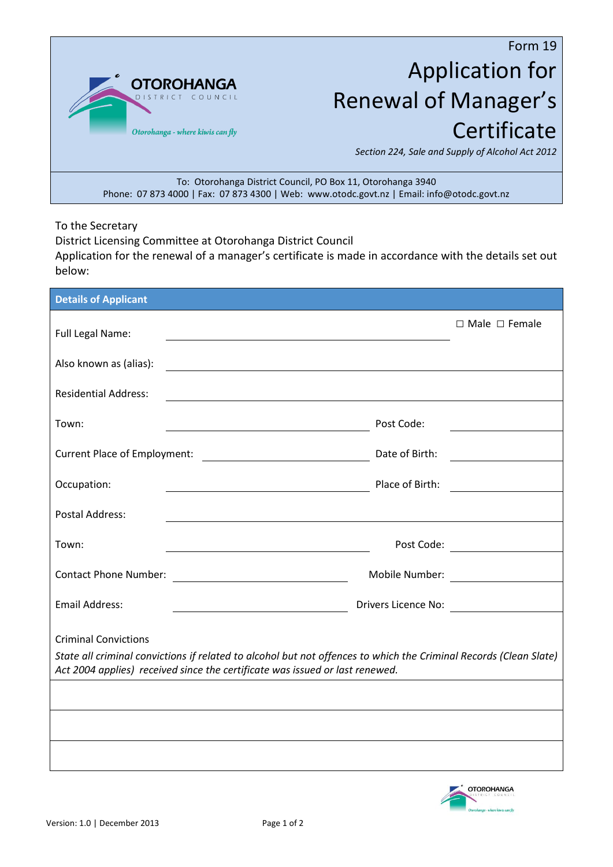

## Form 19 Application for Renewal of Manager's **Certificate**

*Section 224, Sale and Supply of Alcohol Act 2012*

To: Otorohanga District Council, PO Box 11, Otorohanga 3940 Phone: 07 873 4000 | Fax: 07 873 4300 | Web: www.otodc.govt.nz | Email: info@otodc.govt.nz

To the Secretary

District Licensing Committee at Otorohanga District Council

Application for the renewal of a manager's certificate is made in accordance with the details set out below:

| <b>Details of Applicant</b>                                                                                                                                                                                                                             |                |                           |
|---------------------------------------------------------------------------------------------------------------------------------------------------------------------------------------------------------------------------------------------------------|----------------|---------------------------|
| Full Legal Name:                                                                                                                                                                                                                                        |                | $\Box$ Male $\Box$ Female |
|                                                                                                                                                                                                                                                         |                |                           |
| Also known as (alias):<br>the control of the control of the control of the control of the control of the control of the control of the control of the control of the control of the control of the control of the control of the control of the control |                |                           |
| <b>Residential Address:</b><br><u> 1980 - Johann Barn, mars ann an t-Amhain Aonaichte ann an t-Aonaichte ann an t-Aonaichte ann an t-Aonaichte a</u>                                                                                                    |                |                           |
| Town:<br><u> 1989 - Johann Barn, fransk politik en og den som forskellige og den som forskellige og den som forskellige o</u>                                                                                                                           | Post Code:     |                           |
|                                                                                                                                                                                                                                                         | Date of Birth: |                           |
| Occupation:<br><u> 1989 - Johann Barn, mars an t-Amerikaansk politiker (</u>                                                                                                                                                                            |                |                           |
| <b>Postal Address:</b>                                                                                                                                                                                                                                  |                |                           |
| Town:<br><u> 1980 - Johann Stoff, deutscher Stoff, der Stoff, der Stoff, der Stoff, der Stoff, der Stoff, der Stoff, der S</u>                                                                                                                          |                |                           |
| <b>Contact Phone Number:</b><br><u> 1980 - Johann Barbara, martin a</u>                                                                                                                                                                                 |                |                           |
| <b>Email Address:</b>                                                                                                                                                                                                                                   |                | Drivers Licence No:       |
| <b>Criminal Convictions</b>                                                                                                                                                                                                                             |                |                           |
| State all criminal convictions if related to alcohol but not offences to which the Criminal Records (Clean Slate)<br>Act 2004 applies) received since the certificate was issued or last renewed.                                                       |                |                           |
|                                                                                                                                                                                                                                                         |                |                           |
|                                                                                                                                                                                                                                                         |                |                           |
|                                                                                                                                                                                                                                                         |                |                           |